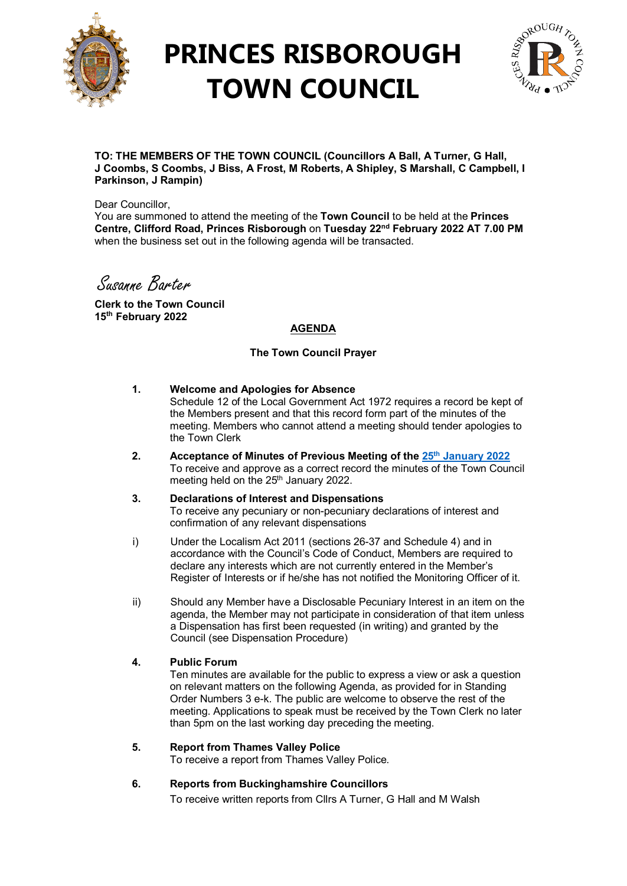

## **PRINCES RISBOROUGH TOWN COUNCIL**



**TO: THE MEMBERS OF THE TOWN COUNCIL (Councillors A Ball, A Turner, G Hall, J Coombs, S Coombs, J Biss, A Frost, M Roberts, A Shipley, S Marshall, C Campbell, I Parkinson, J Rampin)**

Dear Councillor.

You are summoned to attend the meeting of the **Town Council** to be held at the **Princes Centre, Clifford Road, Princes Risborough** on **Tuesday 22nd February 2022 AT 7.00 PM**  when the business set out in the following agenda will be transacted.

Susanne Barter

**Clerk to the Town Council 15th February 2022**

## **AGENDA**

#### **The Town Council Prayer**

#### **1. Welcome and Apologies for Absence**

Schedule 12 of the Local Government Act 1972 requires a record be kept of the Members present and that this record form part of the minutes of the meeting. Members who cannot attend a meeting should tender apologies to the Town Clerk

- **2. Acceptance of Minutes of Previous Meeting of the 25th [January 2022](http://www.princesrisboroughtowncouncil.gov.uk/_UserFiles/Files/_Minutes/138786-Town_Council_Mins_25th_Jan_2022.pdf)**  To receive and approve as a correct record the minutes of the Town Council meeting held on the 25<sup>th</sup> January 2022.
- **3. Declarations of Interest and Dispensations**  To receive any pecuniary or non-pecuniary declarations of interest and confirmation of any relevant dispensations
- i) Under the Localism Act 2011 (sections 26-37 and Schedule 4) and in accordance with the Council's Code of Conduct, Members are required to declare any interests which are not currently entered in the Member's Register of Interests or if he/she has not notified the Monitoring Officer of it.
- ii) Should any Member have a Disclosable Pecuniary Interest in an item on the agenda, the Member may not participate in consideration of that item unless a Dispensation has first been requested (in writing) and granted by the Council (see Dispensation Procedure)

#### **4. Public Forum**

Ten minutes are available for the public to express a view or ask a question on relevant matters on the following Agenda, as provided for in Standing Order Numbers 3 e-k. The public are welcome to observe the rest of the meeting. Applications to speak must be received by the Town Clerk no later than 5pm on the last working day preceding the meeting.

#### **5. Report from Thames Valley Police**

To receive a report from Thames Valley Police.

## **6. Reports from Buckinghamshire Councillors**

To receive written reports from Cllrs A Turner, G Hall and M Walsh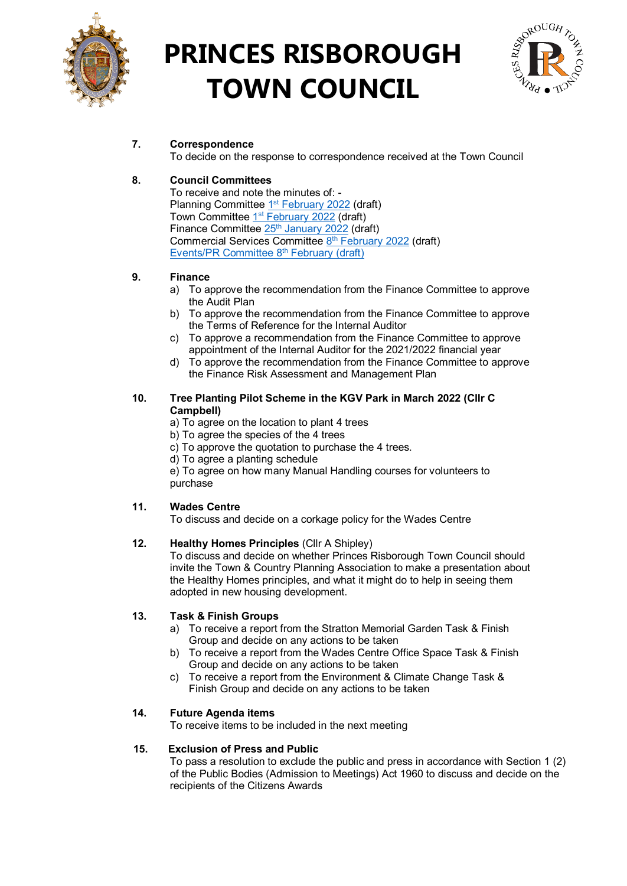

# **PRINCES RISBOROUGH TOWN COUNCIL**



## **7. Correspondence**

To decide on the response to correspondence received at the Town Council

## **8. Council Committees**

To receive and note the minutes of: - Planning Committee 1<sup>st</sup> [February 2022](http://www.princesrisboroughtowncouncil.gov.uk/_UserFiles/Files/_Minutes/139124-Planning_Mins_1st_February_2022.pdf) (draft) Town Committee 1<sup>st</sup> [February 2022](http://www.princesrisboroughtowncouncil.gov.uk/_UserFiles/Files/_Minutes/139123-Town_Committee_mins_1st_February_2022_doc.pdf) (draft) Finance Committee 25<sup>th</sup> [January 2022](http://www.princesrisboroughtowncouncil.gov.uk/_UserFiles/Files/_Minutes/138768-Finance__mins__Jan_25th_2022.pdf) (draft) Commercial Services Committee 8<sup>th</sup> [February 2022](http://www.princesrisboroughtowncouncil.gov.uk/_UserFiles/Files/_Minutes/140452-8th_February_2022_Commercial_Services_Committee_mins.pdf) (draft) [Events/PR Committee 8th](http://www.princesrisboroughtowncouncil.gov.uk/_UserFiles/Files/_Minutes/140449-Events_PR_minutes_8th_February_2022.pdf) February (draft)

## **9. Finance**

- a) To approve the recommendation from the Finance Committee to approve the Audit Plan
- b) To approve the recommendation from the Finance Committee to approve the Terms of Reference for the Internal Auditor
- c) To approve a recommendation from the Finance Committee to approve appointment of the Internal Auditor for the 2021/2022 financial year
- d) To approve the recommendation from the Finance Committee to approve the Finance Risk Assessment and Management Plan

#### **10. Tree Planting Pilot Scheme in the KGV Park in March 2022 (Cllr C Campbell)**

- a) To agree on the location to plant 4 trees
- b) To agree the species of the 4 trees
- c) To approve the quotation to purchase the 4 trees.
- d) To agree a planting schedule

e) To agree on how many Manual Handling courses for volunteers to purchase

## **11. Wades Centre**

To discuss and decide on a corkage policy for the Wades Centre

## **12. Healthy Homes Principles** (Cllr A Shipley)

To discuss and decide on whether Princes Risborough Town Council should invite the Town & Country Planning Association to make a presentation about the Healthy Homes principles, and what it might do to help in seeing them adopted in new housing development.

## **13. Task & Finish Groups**

- a) To receive a report from the Stratton Memorial Garden Task & Finish Group and decide on any actions to be taken
- b) To receive a report from the Wades Centre Office Space Task & Finish Group and decide on any actions to be taken
- c) To receive a report from the Environment & Climate Change Task & Finish Group and decide on any actions to be taken

## **14. Future Agenda items**

To receive items to be included in the next meeting

#### **15. Exclusion of Press and Public**

To pass a resolution to exclude the public and press in accordance with Section 1 (2) of the Public Bodies (Admission to Meetings) Act 1960 to discuss and decide on the recipients of the Citizens Awards